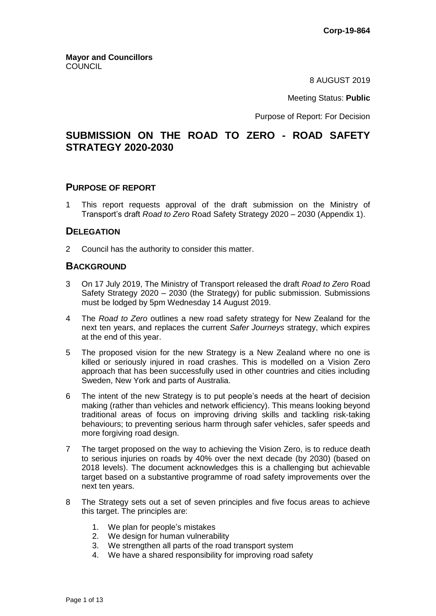8 AUGUST 2019

Meeting Status: **Public**

Purpose of Report: For Decision

# **SUBMISSION ON THE ROAD TO ZERO - ROAD SAFETY STRATEGY 2020-2030**

### **PURPOSE OF REPORT**

1 This report requests approval of the draft submission on the Ministry of Transport's draft *Road to Zero* Road Safety Strategy 2020 – 2030 (Appendix 1).

## **DELEGATION**

2 Council has the authority to consider this matter.

## **BACKGROUND**

- 3 On 17 July 2019, The Ministry of Transport released the draft *Road to Zero* Road Safety Strategy 2020 – 2030 (the Strategy) for public submission. Submissions must be lodged by 5pm Wednesday 14 August 2019.
- 4 The *Road to Zero* outlines a new road safety strategy for New Zealand for the next ten years, and replaces the current *Safer Journeys* strategy, which expires at the end of this year.
- 5 The proposed vision for the new Strategy is a New Zealand where no one is killed or seriously injured in road crashes. This is modelled on a Vision Zero approach that has been successfully used in other countries and cities including Sweden, New York and parts of Australia.
- 6 The intent of the new Strategy is to put people's needs at the heart of decision making (rather than vehicles and network efficiency). This means looking beyond traditional areas of focus on improving driving skills and tackling risk-taking behaviours; to preventing serious harm through safer vehicles, safer speeds and more forgiving road design.
- 7 The target proposed on the way to achieving the Vision Zero, is to reduce death to serious injuries on roads by 40% over the next decade (by 2030) (based on 2018 levels). The document acknowledges this is a challenging but achievable target based on a substantive programme of road safety improvements over the next ten years.
- 8 The Strategy sets out a set of seven principles and five focus areas to achieve this target. The principles are:
	- 1. We plan for people's mistakes
	- 2. We design for human vulnerability
	- 3. We strengthen all parts of the road transport system
	- 4. We have a shared responsibility for improving road safety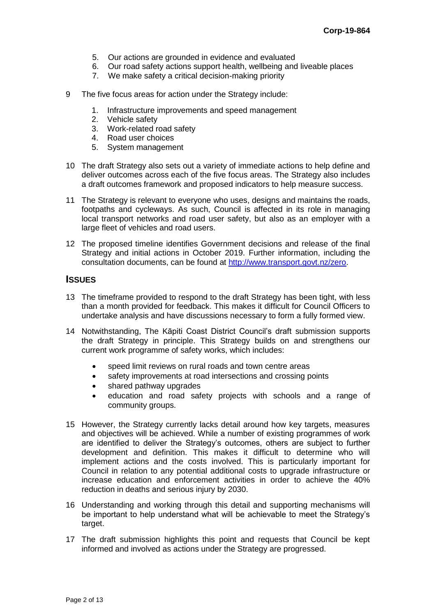- 5. Our actions are grounded in evidence and evaluated
- 6. Our road safety actions support health, wellbeing and liveable places
- 7. We make safety a critical decision-making priority
- 9 The five focus areas for action under the Strategy include:
	- 1. Infrastructure improvements and speed management
	- 2. Vehicle safety
	- 3. Work-related road safety
	- 4. Road user choices
	- 5. System management
- 10 The draft Strategy also sets out a variety of immediate actions to help define and deliver outcomes across each of the five focus areas. The Strategy also includes a draft outcomes framework and proposed indicators to help measure success.
- 11 The Strategy is relevant to everyone who uses, designs and maintains the roads, footpaths and cycleways. As such, Council is affected in its role in managing local transport networks and road user safety, but also as an employer with a large fleet of vehicles and road users.
- 12 The proposed timeline identifies Government decisions and release of the final Strategy and initial actions in October 2019. Further information, including the consultation documents, can be found at [http://www.transport.govt.nz/zero.](http://www.transport.govt.nz/zero)

## **ISSUES**

- 13 The timeframe provided to respond to the draft Strategy has been tight, with less than a month provided for feedback. This makes it difficult for Council Officers to undertake analysis and have discussions necessary to form a fully formed view.
- 14 Notwithstanding, The Kāpiti Coast District Council's draft submission supports the draft Strategy in principle. This Strategy builds on and strengthens our current work programme of safety works, which includes:
	- speed limit reviews on rural roads and town centre areas
	- safety improvements at road intersections and crossing points
	- shared pathway upgrades
	- education and road safety projects with schools and a range of community groups.
- 15 However, the Strategy currently lacks detail around how key targets, measures and objectives will be achieved. While a number of existing programmes of work are identified to deliver the Strategy's outcomes, others are subject to further development and definition. This makes it difficult to determine who will implement actions and the costs involved. This is particularly important for Council in relation to any potential additional costs to upgrade infrastructure or increase education and enforcement activities in order to achieve the 40% reduction in deaths and serious injury by 2030.
- 16 Understanding and working through this detail and supporting mechanisms will be important to help understand what will be achievable to meet the Strategy's target.
- 17 The draft submission highlights this point and requests that Council be kept informed and involved as actions under the Strategy are progressed.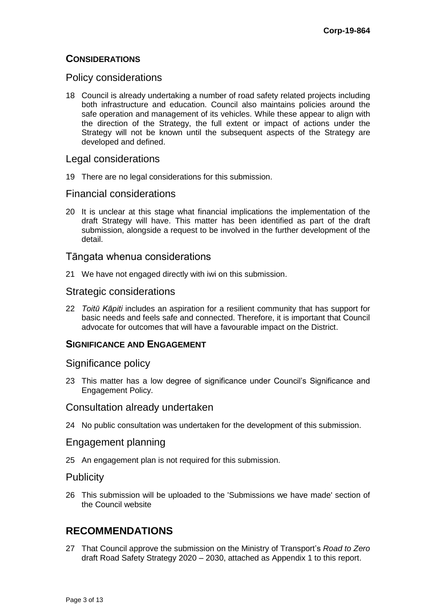# **CONSIDERATIONS**

## Policy considerations

18 Council is already undertaking a number of road safety related projects including both infrastructure and education. Council also maintains policies around the safe operation and management of its vehicles. While these appear to align with the direction of the Strategy, the full extent or impact of actions under the Strategy will not be known until the subsequent aspects of the Strategy are developed and defined.

## Legal considerations

19 There are no legal considerations for this submission.

## Financial considerations

20 It is unclear at this stage what financial implications the implementation of the draft Strategy will have. This matter has been identified as part of the draft submission, alongside a request to be involved in the further development of the detail.

## Tāngata whenua considerations

21 We have not engaged directly with iwi on this submission.

## Strategic considerations

22 *Toitū Kāpiti* includes an aspiration for a resilient community that has support for basic needs and feels safe and connected. Therefore, it is important that Council advocate for outcomes that will have a favourable impact on the District.

# **SIGNIFICANCE AND ENGAGEMENT**

## Significance policy

23 This matter has a low degree of significance under Council's Significance and Engagement Policy.

## Consultation already undertaken

24 No public consultation was undertaken for the development of this submission.

# Engagement planning

25 An engagement plan is not required for this submission.

## **Publicity**

26 This submission will be uploaded to the 'Submissions we have made' section of the Council website

# **RECOMMENDATIONS**

27 That Council approve the submission on the Ministry of Transport's *Road to Zero* draft Road Safety Strategy 2020 – 2030, attached as Appendix 1 to this report.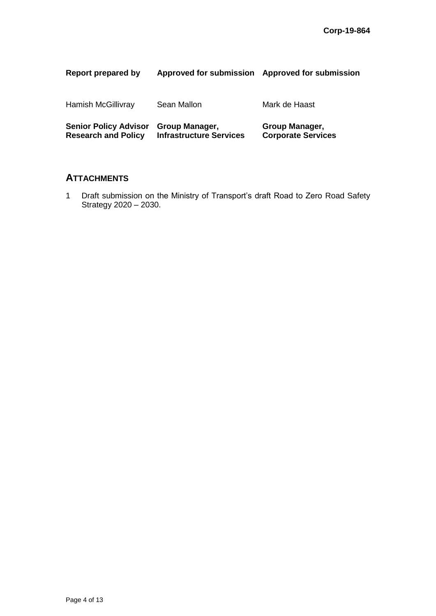| Report prepared by                                         | <b>Approved for submission</b>                   | Approved for submission                     |
|------------------------------------------------------------|--------------------------------------------------|---------------------------------------------|
| Hamish McGillivray                                         | Sean Mallon                                      | Mark de Haast                               |
| <b>Senior Policy Advisor</b><br><b>Research and Policy</b> | Group Manager,<br><b>Infrastructure Services</b> | Group Manager,<br><b>Corporate Services</b> |

# **ATTACHMENTS**

1 Draft submission on the Ministry of Transport's draft Road to Zero Road Safety Strategy 2020 – 2030.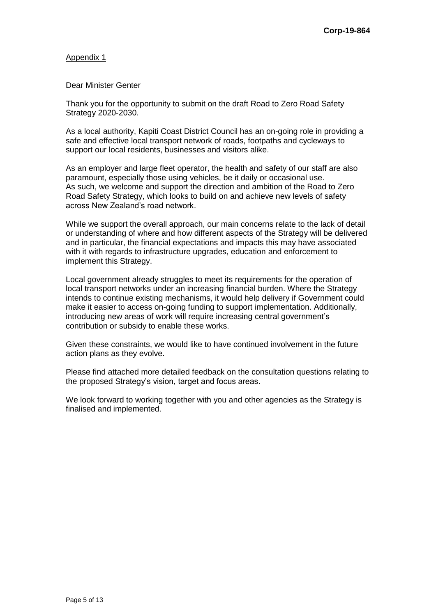#### Appendix 1

### Dear Minister Genter

Thank you for the opportunity to submit on the draft Road to Zero Road Safety Strategy 2020-2030.

As a local authority, Kapiti Coast District Council has an on-going role in providing a safe and effective local transport network of roads, footpaths and cycleways to support our local residents, businesses and visitors alike.

As an employer and large fleet operator, the health and safety of our staff are also paramount, especially those using vehicles, be it daily or occasional use. As such, we welcome and support the direction and ambition of the Road to Zero Road Safety Strategy, which looks to build on and achieve new levels of safety across New Zealand's road network.

While we support the overall approach, our main concerns relate to the lack of detail or understanding of where and how different aspects of the Strategy will be delivered and in particular, the financial expectations and impacts this may have associated with it with regards to infrastructure upgrades, education and enforcement to implement this Strategy.

Local government already struggles to meet its requirements for the operation of local transport networks under an increasing financial burden. Where the Strategy intends to continue existing mechanisms, it would help delivery if Government could make it easier to access on-going funding to support implementation. Additionally, introducing new areas of work will require increasing central government's contribution or subsidy to enable these works.

Given these constraints, we would like to have continued involvement in the future action plans as they evolve.

Please find attached more detailed feedback on the consultation questions relating to the proposed Strategy's vision, target and focus areas.

We look forward to working together with you and other agencies as the Strategy is finalised and implemented.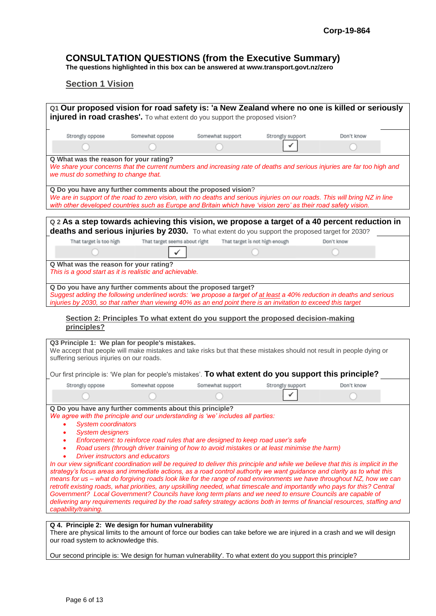# **CONSULTATION QUESTIONS (from the Executive Summary)**

**The questions highlighted in this box can be answered at www.transport.govt.nz/zero**

## **Section 1 Vision**

| <b>injured in road crashes'.</b> To what extent do you support the proposed vision?                                                                                                                                                                                                                                                                    |                                         |                                                                                                                                                                                  |                                | Q1 Our proposed vision for road safety is: 'a New Zealand where no one is killed or seriously                                                                                                                                                                                                                                                                                                                                                                                                                                                                                                                                                     |
|--------------------------------------------------------------------------------------------------------------------------------------------------------------------------------------------------------------------------------------------------------------------------------------------------------------------------------------------------------|-----------------------------------------|----------------------------------------------------------------------------------------------------------------------------------------------------------------------------------|--------------------------------|---------------------------------------------------------------------------------------------------------------------------------------------------------------------------------------------------------------------------------------------------------------------------------------------------------------------------------------------------------------------------------------------------------------------------------------------------------------------------------------------------------------------------------------------------------------------------------------------------------------------------------------------------|
| Strongly oppose                                                                                                                                                                                                                                                                                                                                        | Somewhat oppose                         | Somewhat support                                                                                                                                                                 | Strongly support               | Don't know                                                                                                                                                                                                                                                                                                                                                                                                                                                                                                                                                                                                                                        |
|                                                                                                                                                                                                                                                                                                                                                        |                                         |                                                                                                                                                                                  |                                |                                                                                                                                                                                                                                                                                                                                                                                                                                                                                                                                                                                                                                                   |
| Q What was the reason for your rating?<br>we must do something to change that.                                                                                                                                                                                                                                                                         |                                         |                                                                                                                                                                                  |                                | We share your concerns that the current numbers and increasing rate of deaths and serious injuries are far too high and                                                                                                                                                                                                                                                                                                                                                                                                                                                                                                                           |
|                                                                                                                                                                                                                                                                                                                                                        |                                         | Q Do you have any further comments about the proposed vision?<br>with other developed countries such as Europe and Britain which have 'vision zero' as their road safety vision. |                                | We are in support of the road to zero vision, with no deaths and serious injuries on our roads. This will bring NZ in line                                                                                                                                                                                                                                                                                                                                                                                                                                                                                                                        |
|                                                                                                                                                                                                                                                                                                                                                        |                                         | deaths and serious injuries by 2030. To what extent do you support the proposed target for 2030?                                                                                 |                                | Q 2 As a step towards achieving this vision, we propose a target of a 40 percent reduction in                                                                                                                                                                                                                                                                                                                                                                                                                                                                                                                                                     |
| That target is too high                                                                                                                                                                                                                                                                                                                                | That target seems about right           |                                                                                                                                                                                  | That target is not high enough | Don't know                                                                                                                                                                                                                                                                                                                                                                                                                                                                                                                                                                                                                                        |
|                                                                                                                                                                                                                                                                                                                                                        |                                         |                                                                                                                                                                                  |                                |                                                                                                                                                                                                                                                                                                                                                                                                                                                                                                                                                                                                                                                   |
| Q What was the reason for your rating?<br>This is a good start as it is realistic and achievable.                                                                                                                                                                                                                                                      |                                         |                                                                                                                                                                                  |                                |                                                                                                                                                                                                                                                                                                                                                                                                                                                                                                                                                                                                                                                   |
|                                                                                                                                                                                                                                                                                                                                                        |                                         | Q Do you have any further comments about the proposed target?<br>injuries by 2030, so that rather than viewing 40% as an end point there is an invitation to exceed this target  |                                | Suggest adding the following underlined words: 'we propose a target of at least a 40% reduction in deaths and serious                                                                                                                                                                                                                                                                                                                                                                                                                                                                                                                             |
| principles?<br>Q3 Principle 1: We plan for people's mistakes.<br>suffering serious injuries on our roads.                                                                                                                                                                                                                                              |                                         |                                                                                                                                                                                  |                                | We accept that people will make mistakes and take risks but that these mistakes should not result in people dying or                                                                                                                                                                                                                                                                                                                                                                                                                                                                                                                              |
|                                                                                                                                                                                                                                                                                                                                                        |                                         | Our first principle is: 'We plan for people's mistakes'. To what extent do you support this principle?                                                                           |                                |                                                                                                                                                                                                                                                                                                                                                                                                                                                                                                                                                                                                                                                   |
| Strongly oppose                                                                                                                                                                                                                                                                                                                                        | Somewhat oppose                         | Somewhat support                                                                                                                                                                 | Strongly support               | Don't know                                                                                                                                                                                                                                                                                                                                                                                                                                                                                                                                                                                                                                        |
| Q Do you have any further comments about this principle?<br>We agree with the principle and our understanding is 'we' includes all parties:<br><b>System coordinators</b><br>$\bullet$<br><b>System designers</b><br>Government? Local Government? Councils have long term plans and we need to ensure Councils are capable of<br>capability/training. | <b>Driver instructors and educators</b> | Enforcement: to reinforce road rules that are designed to keep road user's safe<br>Road users (through driver training of how to avoid mistakes or at least minimise the harm)   |                                | In our view significant coordination will be required to deliver this principle and while we believe that this is implicit in the<br>strategy's focus areas and immediate actions, as a road control authority we want guidance and clarity as to what this<br>means for us - what do forgiving roads look like for the range of road environments we have throughout NZ, how we can<br>retrofit existing roads, what priorities, any upskilling needed, what timescale and importantly who pays for this? Central<br>delivering any requirements required by the road safety strategy actions both in terms of financial resources, staffing and |
| Q 4. Principle 2: We design for human vulnerability<br>our road system to acknowledge this.                                                                                                                                                                                                                                                            |                                         |                                                                                                                                                                                  |                                | There are physical limits to the amount of force our bodies can take before we are injured in a crash and we will design                                                                                                                                                                                                                                                                                                                                                                                                                                                                                                                          |

Our second principle is: 'We design for human vulnerability'. To what extent do you support this principle?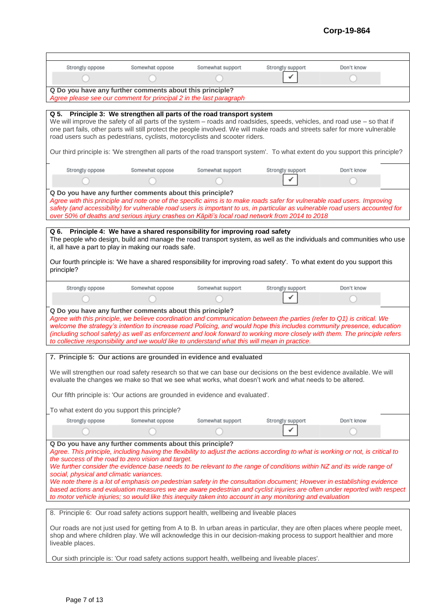## **Corp-19-864**

| Strongly oppose                                                                       | Somewhat oppose | Somewhat support                                                                              | Strongly support                                                                                                       | Don't know                                                                                                                                                                                                                                               |
|---------------------------------------------------------------------------------------|-----------------|-----------------------------------------------------------------------------------------------|------------------------------------------------------------------------------------------------------------------------|----------------------------------------------------------------------------------------------------------------------------------------------------------------------------------------------------------------------------------------------------------|
|                                                                                       |                 |                                                                                               |                                                                                                                        |                                                                                                                                                                                                                                                          |
| Q Do you have any further comments about this principle?                              |                 |                                                                                               |                                                                                                                        |                                                                                                                                                                                                                                                          |
| Agree please see our comment for principal 2 in the last paragraph                    |                 |                                                                                               |                                                                                                                        |                                                                                                                                                                                                                                                          |
| Q 5. Principle 3: We strengthen all parts of the road transport system                |                 |                                                                                               |                                                                                                                        |                                                                                                                                                                                                                                                          |
|                                                                                       |                 |                                                                                               |                                                                                                                        | We will improve the safety of all parts of the system - roads and roadsides, speeds, vehicles, and road use - so that if                                                                                                                                 |
|                                                                                       |                 |                                                                                               |                                                                                                                        | one part fails, other parts will still protect the people involved. We will make roads and streets safer for more vulnerable                                                                                                                             |
| road users such as pedestrians, cyclists, motorcyclists and scooter riders.           |                 |                                                                                               |                                                                                                                        |                                                                                                                                                                                                                                                          |
|                                                                                       |                 |                                                                                               |                                                                                                                        |                                                                                                                                                                                                                                                          |
|                                                                                       |                 |                                                                                               |                                                                                                                        | Our third principle is: 'We strengthen all parts of the road transport system'. To what extent do you support this principle?                                                                                                                            |
| Strongly oppose                                                                       | Somewhat oppose | Somewhat support                                                                              | Strongly support                                                                                                       | Don't know                                                                                                                                                                                                                                               |
|                                                                                       |                 |                                                                                               |                                                                                                                        |                                                                                                                                                                                                                                                          |
|                                                                                       |                 |                                                                                               |                                                                                                                        |                                                                                                                                                                                                                                                          |
| Q Do you have any further comments about this principle?                              |                 |                                                                                               | over 50% of deaths and serious injury crashes on Kāpiti's local road network from 2014 to 2018                         | Agree with this principle and note one of the specific aims is to make roads safer for vulnerable road users. Improving<br>safety (and accessibility) for vulnerable road users is important to us, in particular as vulnerable road users accounted for |
|                                                                                       |                 |                                                                                               |                                                                                                                        |                                                                                                                                                                                                                                                          |
| Q 6.                                                                                  |                 | Principle 4: We have a shared responsibility for improving road safety                        |                                                                                                                        |                                                                                                                                                                                                                                                          |
| it, all have a part to play in making our roads safe.                                 |                 |                                                                                               |                                                                                                                        | The people who design, build and manage the road transport system, as well as the individuals and communities who use                                                                                                                                    |
|                                                                                       |                 |                                                                                               |                                                                                                                        |                                                                                                                                                                                                                                                          |
| principle?                                                                            |                 |                                                                                               |                                                                                                                        | Our fourth principle is: 'We have a shared responsibility for improving road safety'. To what extent do you support this                                                                                                                                 |
| Strongly oppose                                                                       | Somewhat oppose | Somewhat support                                                                              | Strongly support                                                                                                       | Don't know                                                                                                                                                                                                                                               |
|                                                                                       |                 |                                                                                               |                                                                                                                        |                                                                                                                                                                                                                                                          |
|                                                                                       |                 |                                                                                               |                                                                                                                        |                                                                                                                                                                                                                                                          |
| Q Do you have any further comments about this principle?                              |                 | to collective responsibility and we would like to understand what this will mean in practice. | Agree with this principle, we believe coordination and communication between the parties (refer to Q1) is critical. We | welcome the strategy's intention to increase road Policing, and would hope this includes community presence, education<br>(including school safety) as well as enforcement and look forward to working more closely with them. The principle refers      |
| 7. Principle 5: Our actions are grounded in evidence and evaluated                    |                 |                                                                                               |                                                                                                                        |                                                                                                                                                                                                                                                          |
|                                                                                       |                 |                                                                                               |                                                                                                                        |                                                                                                                                                                                                                                                          |
|                                                                                       |                 |                                                                                               | evaluate the changes we make so that we see what works, what doesn't work and what needs to be altered.                | We will strengthen our road safety research so that we can base our decisions on the best evidence available. We will                                                                                                                                    |
|                                                                                       |                 | Our fifth principle is: 'Our actions are grounded in evidence and evaluated'.                 |                                                                                                                        |                                                                                                                                                                                                                                                          |
|                                                                                       |                 |                                                                                               |                                                                                                                        |                                                                                                                                                                                                                                                          |
| To what extent do you support this principle?                                         |                 |                                                                                               |                                                                                                                        |                                                                                                                                                                                                                                                          |
| Strongly oppose                                                                       | Somewhat oppose | Somewhat support                                                                              | Strongly support                                                                                                       | Don't know                                                                                                                                                                                                                                               |
|                                                                                       |                 |                                                                                               |                                                                                                                        |                                                                                                                                                                                                                                                          |
| Q Do you have any further comments about this principle?                              |                 |                                                                                               |                                                                                                                        |                                                                                                                                                                                                                                                          |
|                                                                                       |                 |                                                                                               |                                                                                                                        | Agree. This principle, including having the flexibility to adjust the actions according to what is working or not, is critical to                                                                                                                        |
| the success of the road to zero vision and target.                                    |                 |                                                                                               |                                                                                                                        |                                                                                                                                                                                                                                                          |
| social, physical and climatic variances.                                              |                 |                                                                                               |                                                                                                                        | We further consider the evidence base needs to be relevant to the range of conditions within NZ and its wide range of                                                                                                                                    |
|                                                                                       |                 |                                                                                               |                                                                                                                        | We note there is a lot of emphasis on pedestrian safety in the consultation document; However in establishing evidence                                                                                                                                   |
|                                                                                       |                 |                                                                                               |                                                                                                                        | based actions and evaluation measures we are aware pedestrian and cyclist injuries are often under reported with respect                                                                                                                                 |
|                                                                                       |                 |                                                                                               | to motor vehicle injuries; so would like this inequity taken into account in any monitoring and evaluation             |                                                                                                                                                                                                                                                          |
| 8. Principle 6: Our road safety actions support health, wellbeing and liveable places |                 |                                                                                               |                                                                                                                        |                                                                                                                                                                                                                                                          |
|                                                                                       |                 |                                                                                               |                                                                                                                        | Our roads are not just used for getting from A to B. In urban areas in particular, they are often places where people meet,                                                                                                                              |
| liveable places.                                                                      |                 |                                                                                               |                                                                                                                        | shop and where children play. We will acknowledge this in our decision-making process to support healthier and more                                                                                                                                      |

Our sixth principle is: 'Our road safety actions support health, wellbeing and liveable places'.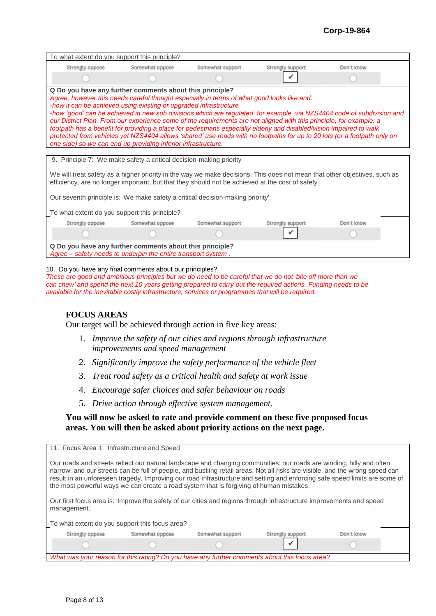### **Corp-19-864**

| To what extent do you support this principle?                                                                                                                                                                                                                                                                                                                                                                                                                                                                                                                                                                                                                                                                                                                                                     |                 |                  |                  |            |  |  |
|---------------------------------------------------------------------------------------------------------------------------------------------------------------------------------------------------------------------------------------------------------------------------------------------------------------------------------------------------------------------------------------------------------------------------------------------------------------------------------------------------------------------------------------------------------------------------------------------------------------------------------------------------------------------------------------------------------------------------------------------------------------------------------------------------|-----------------|------------------|------------------|------------|--|--|
| Strongly oppose                                                                                                                                                                                                                                                                                                                                                                                                                                                                                                                                                                                                                                                                                                                                                                                   | Somewhat oppose | Somewhat support | Strongly support | Don't know |  |  |
|                                                                                                                                                                                                                                                                                                                                                                                                                                                                                                                                                                                                                                                                                                                                                                                                   |                 |                  |                  |            |  |  |
| Q Do you have any further comments about this principle?<br>Agree; however this needs careful thought especially in terms of what good looks like and:<br>-how it can be achieved using existing or upgraded infrastructure<br>-how 'good' can be achieved in new sub divisions which are regulated, for example, via NZS4404 code of subdivision and<br>our District Plan. From our experience some of the requirements are not aligned with this principle, for example: a<br>footpath has a benefit for providing a place for pedestrians especially elderly and disabled/vision impaired to walk<br>protected from vehicles yet NZS4404 allows 'shared' use roads with no footpaths for up to 20 lots (or a footpath only on<br>one side) so we can end up providing inferior infrastructure. |                 |                  |                  |            |  |  |
|                                                                                                                                                                                                                                                                                                                                                                                                                                                                                                                                                                                                                                                                                                                                                                                                   |                 |                  |                  |            |  |  |
| 9. Principle 7: We make safety a critical decision-making priority<br>We will treat safety as a higher priority in the way we make decisions. This does not mean that other objectives, such as<br>efficiency, are no longer important, but that they should not be achieved at the cost of safety.                                                                                                                                                                                                                                                                                                                                                                                                                                                                                               |                 |                  |                  |            |  |  |
| Our seventh principle is: 'We make safety a critical decision-making priority'.                                                                                                                                                                                                                                                                                                                                                                                                                                                                                                                                                                                                                                                                                                                   |                 |                  |                  |            |  |  |
| To what extent do you support this principle?                                                                                                                                                                                                                                                                                                                                                                                                                                                                                                                                                                                                                                                                                                                                                     |                 |                  |                  |            |  |  |
| Strongly oppose                                                                                                                                                                                                                                                                                                                                                                                                                                                                                                                                                                                                                                                                                                                                                                                   | Somewhat oppose | Somewhat support | Strongly support | Don't know |  |  |
|                                                                                                                                                                                                                                                                                                                                                                                                                                                                                                                                                                                                                                                                                                                                                                                                   |                 |                  |                  |            |  |  |
| Q Do you have any further comments about this principle?<br>Agree - safety needs to underpin the entire transport system.                                                                                                                                                                                                                                                                                                                                                                                                                                                                                                                                                                                                                                                                         |                 |                  |                  |            |  |  |

10. Do you have any final comments about our principles?

*These are good and ambitious principles but we do need to be careful that we do not 'bite off more than we can chew' and spend the next 10 years getting prepared to carry out the required actions. Funding needs to be available for the inevitable costly infrastructure, services or programmes that will be required.*

### **FOCUS AREAS**

Our target will be achieved through action in five key areas:

- 1. *Improve the safety of our cities and regions through infrastructure improvements and speed management*
- 2. *Significantly improve the safety performance of the vehicle fleet*
- 3. *Treat road safety as a critical health and safety at work issue*
- 4. *Encourage safer choices and safer behaviour on roads*
- 5. *Drive action through effective system management.*

### **You will now be asked to rate and provide comment on these five proposed focus areas. You will then be asked about priority actions on the next page.**

| 11. Focus Area 1: Infrastructure and Speed                                                                                                                                                                                                                                                                                                                                                                                                                                                                                                                                                                            |                  |                  |            |  |  |
|-----------------------------------------------------------------------------------------------------------------------------------------------------------------------------------------------------------------------------------------------------------------------------------------------------------------------------------------------------------------------------------------------------------------------------------------------------------------------------------------------------------------------------------------------------------------------------------------------------------------------|------------------|------------------|------------|--|--|
| Our roads and streets reflect our natural landscape and changing communities: our roads are winding, hilly and often<br>narrow, and our streets can be full of people, and bustling retail areas. Not all risks are visible, and the wrong speed can<br>result in an unforeseen tragedy. Improving our road infrastructure and setting and enforcing safe speed limits are some of<br>the most powerful ways we can create a road system that is forgiving of human mistakes.<br>Our first focus area is: 'Improve the safety of our cities and regions through infrastructure improvements and speed<br>management.' |                  |                  |            |  |  |
|                                                                                                                                                                                                                                                                                                                                                                                                                                                                                                                                                                                                                       |                  |                  |            |  |  |
| To what extent do you support this focus area?                                                                                                                                                                                                                                                                                                                                                                                                                                                                                                                                                                        |                  |                  |            |  |  |
| Strongly oppose<br>Somewhat oppose                                                                                                                                                                                                                                                                                                                                                                                                                                                                                                                                                                                    | Somewhat support | Strongly support | Don't know |  |  |
|                                                                                                                                                                                                                                                                                                                                                                                                                                                                                                                                                                                                                       |                  |                  |            |  |  |
| What was your reason for this rating? Do you have any further comments about this focus area?                                                                                                                                                                                                                                                                                                                                                                                                                                                                                                                         |                  |                  |            |  |  |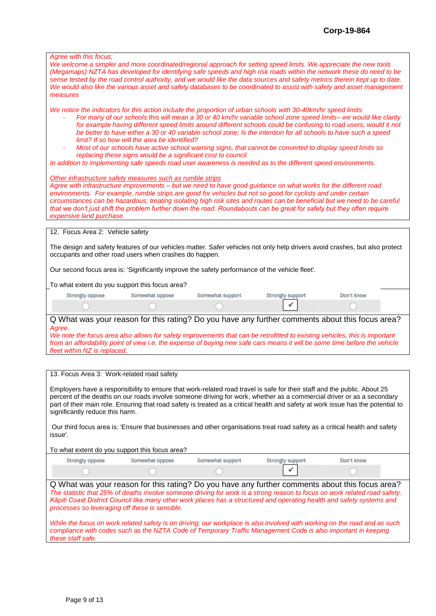| Agree with this focus;<br>We welcome a simpler and more coordinated/regional approach for setting speed limits. We appreciate the new tools<br>measures                                                                                                                                                                                                                                                                                              |                                                                                                                                                                                                                                                                                                                                                                                                                                                                                                                                                                                                                                                                                                                                                                                                                          |                  |                  | (Megamaps) NZTA has developed for identifying safe speeds and high risk roads within the network these do need to be<br>sense tested by the road control authority, and we would like the data sources and safety metrics therein kept up to date.<br>We would also like the various asset and safety databases to be coordinated to assist with safety and asset management |  |  |  |
|------------------------------------------------------------------------------------------------------------------------------------------------------------------------------------------------------------------------------------------------------------------------------------------------------------------------------------------------------------------------------------------------------------------------------------------------------|--------------------------------------------------------------------------------------------------------------------------------------------------------------------------------------------------------------------------------------------------------------------------------------------------------------------------------------------------------------------------------------------------------------------------------------------------------------------------------------------------------------------------------------------------------------------------------------------------------------------------------------------------------------------------------------------------------------------------------------------------------------------------------------------------------------------------|------------------|------------------|------------------------------------------------------------------------------------------------------------------------------------------------------------------------------------------------------------------------------------------------------------------------------------------------------------------------------------------------------------------------------|--|--|--|
|                                                                                                                                                                                                                                                                                                                                                                                                                                                      | We notice the indicators for this action include the proportion of urban schools with 30-40km/hr speed limits<br>For many of our schools this will mean a 30 or 40 km/hr variable school zone speed limits- we would like clarity<br>for example having different speed limits around different schools could be confusing to road users, would it not<br>be better to have either a 30 or 40 variable school zone; Is the intention for all schools to have such a speed<br>limit? If so how will the area be identified?<br>Most of our schools have active school warning signs, that cannot be converted to display speed limits so<br>replacing these signs would be a significant cost to council<br>In addition to implementing safe speeds road user awareness is needed as to the different speed environments. |                  |                  |                                                                                                                                                                                                                                                                                                                                                                              |  |  |  |
| Other infrastructure safety measures such as rumble strips<br>Agree with infrastructure improvements - but we need to have good guidance on what works for the different road<br>environments. For example, rumble strips are good for vehicles but not so good for cyclists and under certain<br>that we don't just shift the problem further down the road. Roundabouts can be great for safety but they often require<br>expensive land purchase. |                                                                                                                                                                                                                                                                                                                                                                                                                                                                                                                                                                                                                                                                                                                                                                                                                          |                  |                  | circumstances can be hazardous; treating isolating high risk sites and routes can be beneficial but we need to be careful                                                                                                                                                                                                                                                    |  |  |  |
| 12. Focus Area 2: Vehicle safety                                                                                                                                                                                                                                                                                                                                                                                                                     |                                                                                                                                                                                                                                                                                                                                                                                                                                                                                                                                                                                                                                                                                                                                                                                                                          |                  |                  |                                                                                                                                                                                                                                                                                                                                                                              |  |  |  |
| occupants and other road users when crashes do happen.                                                                                                                                                                                                                                                                                                                                                                                               |                                                                                                                                                                                                                                                                                                                                                                                                                                                                                                                                                                                                                                                                                                                                                                                                                          |                  |                  | The design and safety features of our vehicles matter. Safer vehicles not only help drivers avoid crashes, but also protect                                                                                                                                                                                                                                                  |  |  |  |
| Our second focus area is: 'Significantly improve the safety performance of the vehicle fleet'.                                                                                                                                                                                                                                                                                                                                                       |                                                                                                                                                                                                                                                                                                                                                                                                                                                                                                                                                                                                                                                                                                                                                                                                                          |                  |                  |                                                                                                                                                                                                                                                                                                                                                                              |  |  |  |
| To what extent do you support this focus area?                                                                                                                                                                                                                                                                                                                                                                                                       |                                                                                                                                                                                                                                                                                                                                                                                                                                                                                                                                                                                                                                                                                                                                                                                                                          |                  |                  |                                                                                                                                                                                                                                                                                                                                                                              |  |  |  |
| Strongly oppose                                                                                                                                                                                                                                                                                                                                                                                                                                      | Somewhat oppose                                                                                                                                                                                                                                                                                                                                                                                                                                                                                                                                                                                                                                                                                                                                                                                                          | Somewhat support | Strongly support | Don't know                                                                                                                                                                                                                                                                                                                                                                   |  |  |  |
|                                                                                                                                                                                                                                                                                                                                                                                                                                                      |                                                                                                                                                                                                                                                                                                                                                                                                                                                                                                                                                                                                                                                                                                                                                                                                                          |                  |                  |                                                                                                                                                                                                                                                                                                                                                                              |  |  |  |
| Agree.<br>We note the focus area also allows for safety improvements that can be retrofitted to existing vehicles, this is important<br>fleet within NZ is replaced.                                                                                                                                                                                                                                                                                 |                                                                                                                                                                                                                                                                                                                                                                                                                                                                                                                                                                                                                                                                                                                                                                                                                          |                  |                  | Q What was your reason for this rating? Do you have any further comments about this focus area?<br>from an affordability point of view i.e. the expense of buying new safe cars means it will be some time before the vehicle                                                                                                                                                |  |  |  |
|                                                                                                                                                                                                                                                                                                                                                                                                                                                      |                                                                                                                                                                                                                                                                                                                                                                                                                                                                                                                                                                                                                                                                                                                                                                                                                          |                  |                  |                                                                                                                                                                                                                                                                                                                                                                              |  |  |  |
| 13. Focus Area 3: Work-related road safety                                                                                                                                                                                                                                                                                                                                                                                                           |                                                                                                                                                                                                                                                                                                                                                                                                                                                                                                                                                                                                                                                                                                                                                                                                                          |                  |                  |                                                                                                                                                                                                                                                                                                                                                                              |  |  |  |
| Employers have a responsibility to ensure that work-related road travel is safe for their staff and the public. About 25<br>significantly reduce this harm.                                                                                                                                                                                                                                                                                          |                                                                                                                                                                                                                                                                                                                                                                                                                                                                                                                                                                                                                                                                                                                                                                                                                          |                  |                  | percent of the deaths on our roads involve someone driving for work, whether as a commercial driver or as a secondary<br>part of their main role. Ensuring that road safety is treated as a critical health and safety at work issue has the potential to                                                                                                                    |  |  |  |
| issue'.                                                                                                                                                                                                                                                                                                                                                                                                                                              |                                                                                                                                                                                                                                                                                                                                                                                                                                                                                                                                                                                                                                                                                                                                                                                                                          |                  |                  | Our third focus area is: 'Ensure that businesses and other organisations treat road safety as a critical health and safety                                                                                                                                                                                                                                                   |  |  |  |
| To what extent do you support this focus area?                                                                                                                                                                                                                                                                                                                                                                                                       |                                                                                                                                                                                                                                                                                                                                                                                                                                                                                                                                                                                                                                                                                                                                                                                                                          |                  |                  |                                                                                                                                                                                                                                                                                                                                                                              |  |  |  |
| Strongly oppose                                                                                                                                                                                                                                                                                                                                                                                                                                      | Somewhat oppose                                                                                                                                                                                                                                                                                                                                                                                                                                                                                                                                                                                                                                                                                                                                                                                                          | Somewhat support | Strongly support | Don't know                                                                                                                                                                                                                                                                                                                                                                   |  |  |  |
|                                                                                                                                                                                                                                                                                                                                                                                                                                                      |                                                                                                                                                                                                                                                                                                                                                                                                                                                                                                                                                                                                                                                                                                                                                                                                                          |                  |                  |                                                                                                                                                                                                                                                                                                                                                                              |  |  |  |
| Kāpiti Coast District Council like many other work places has a structured and operating health and safety systems and<br>processes so leveraging off these is sensible.                                                                                                                                                                                                                                                                             |                                                                                                                                                                                                                                                                                                                                                                                                                                                                                                                                                                                                                                                                                                                                                                                                                          |                  |                  | Q What was your reason for this rating? Do you have any further comments about this focus area?<br>The statistic that 25% of deaths involve someone driving for work is a strong reason to focus on work related road safety.                                                                                                                                                |  |  |  |
| compliance with codes such as the NZTA Code of Temporary Traffic Management Code is also important in keeping<br>these staff safe.                                                                                                                                                                                                                                                                                                                   |                                                                                                                                                                                                                                                                                                                                                                                                                                                                                                                                                                                                                                                                                                                                                                                                                          |                  |                  | While the focus on work related safety is on driving; our workplace is also involved with working on the road and as such                                                                                                                                                                                                                                                    |  |  |  |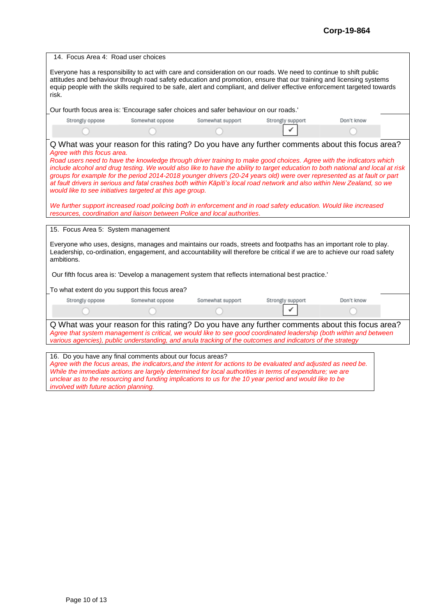| 14. Focus Area 4: Road user choices                                                                                                                                                                                                                                                                                                                               |                                                                                                                                        |                  |                                                                                                                                                                                                                                                                                                                                                                                                                                                                                                                                                                                                                                                                                                                                       |            |  |
|-------------------------------------------------------------------------------------------------------------------------------------------------------------------------------------------------------------------------------------------------------------------------------------------------------------------------------------------------------------------|----------------------------------------------------------------------------------------------------------------------------------------|------------------|---------------------------------------------------------------------------------------------------------------------------------------------------------------------------------------------------------------------------------------------------------------------------------------------------------------------------------------------------------------------------------------------------------------------------------------------------------------------------------------------------------------------------------------------------------------------------------------------------------------------------------------------------------------------------------------------------------------------------------------|------------|--|
| risk.                                                                                                                                                                                                                                                                                                                                                             |                                                                                                                                        |                  | Everyone has a responsibility to act with care and consideration on our roads. We need to continue to shift public<br>attitudes and behaviour through road safety education and promotion, ensure that our training and licensing systems<br>equip people with the skills required to be safe, alert and compliant, and deliver effective enforcement targeted towards                                                                                                                                                                                                                                                                                                                                                                |            |  |
|                                                                                                                                                                                                                                                                                                                                                                   | Our fourth focus area is: 'Encourage safer choices and safer behaviour on our roads.'                                                  |                  |                                                                                                                                                                                                                                                                                                                                                                                                                                                                                                                                                                                                                                                                                                                                       |            |  |
| Strongly oppose                                                                                                                                                                                                                                                                                                                                                   | Somewhat oppose                                                                                                                        | Somewhat support | Strongly support                                                                                                                                                                                                                                                                                                                                                                                                                                                                                                                                                                                                                                                                                                                      | Don't know |  |
|                                                                                                                                                                                                                                                                                                                                                                   |                                                                                                                                        |                  |                                                                                                                                                                                                                                                                                                                                                                                                                                                                                                                                                                                                                                                                                                                                       |            |  |
| Agree with this focus area.<br>15. Focus Area 5: System management                                                                                                                                                                                                                                                                                                | would like to see initiatives targeted at this age group.<br>resources, coordination and liaison between Police and local authorities. |                  | Q What was your reason for this rating? Do you have any further comments about this focus area?<br>Road users need to have the knowledge through driver training to make good choices. Agree with the indicators which<br>include alcohol and drug testing. We would also like to have the ability to target education to both national and local at risk<br>groups for example for the period 2014-2018 younger drivers (20-24 years old) were over represented as at fault or part<br>at fault drivers in serious and fatal crashes both within Kāpiti's local road network and also within New Zealand, so we<br>We further support increased road policing both in enforcement and in road safety education. Would like increased |            |  |
| Everyone who uses, designs, manages and maintains our roads, streets and footpaths has an important role to play.<br>Leadership, co-ordination, engagement, and accountability will therefore be critical if we are to achieve our road safety<br>ambitions.<br>Our fifth focus area is: 'Develop a management system that reflects international best practice.' |                                                                                                                                        |                  |                                                                                                                                                                                                                                                                                                                                                                                                                                                                                                                                                                                                                                                                                                                                       |            |  |
|                                                                                                                                                                                                                                                                                                                                                                   | To what extent do you support this focus area?                                                                                         |                  |                                                                                                                                                                                                                                                                                                                                                                                                                                                                                                                                                                                                                                                                                                                                       |            |  |
| Strongly oppose                                                                                                                                                                                                                                                                                                                                                   | Somewhat oppose                                                                                                                        | Somewhat support | Strongly support                                                                                                                                                                                                                                                                                                                                                                                                                                                                                                                                                                                                                                                                                                                      | Don't know |  |
|                                                                                                                                                                                                                                                                                                                                                                   |                                                                                                                                        |                  |                                                                                                                                                                                                                                                                                                                                                                                                                                                                                                                                                                                                                                                                                                                                       |            |  |
|                                                                                                                                                                                                                                                                                                                                                                   |                                                                                                                                        |                  | Q What was your reason for this rating? Do you have any further comments about this focus area?<br>Agree that system management is critical, we would like to see good coordinated leadership (both within and between<br>various agencies), public understanding, and anula tracking of the outcomes and indicators of the strategy                                                                                                                                                                                                                                                                                                                                                                                                  |            |  |
|                                                                                                                                                                                                                                                                                                                                                                   | 16. Do you have any final comments about our focus areas?                                                                              |                  | Agree with the focus areas, the indicators, and the intent for actions to be evaluated and adjusted as need be.<br>While the immediate actions are largely determined for local authorities in terms of expenditure; we are<br>unclear as to the resourcing and funding implications to us for the 10 year period and would like to be                                                                                                                                                                                                                                                                                                                                                                                                |            |  |

*involved with future action planning.*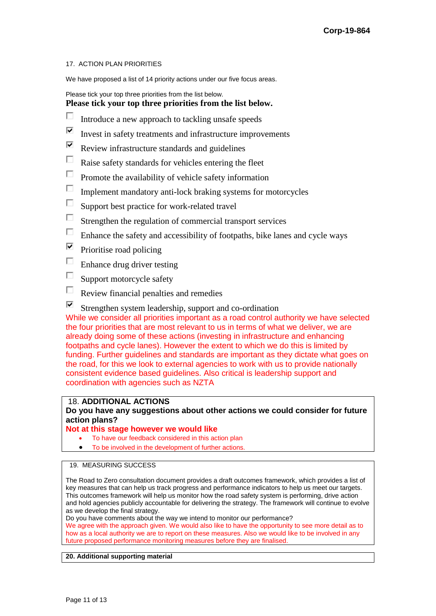#### 17. ACTION PLAN PRIORITIES

We have proposed a list of 14 priority actions under our five focus areas.

Please tick your top three priorities from the list below.

## **Please tick your top three priorities from the list below.**

- П Introduce a new approach to tackling unsafe speeds
- $\overline{\blacktriangledown}$ Invest in safety treatments and infrastructure improvements
- $\overline{\blacktriangledown}$ Review infrastructure standards and guidelines
- П Raise safety standards for vehicles entering the fleet
- $\Box$ Promote the availability of vehicle safety information
- П Implement mandatory anti-lock braking systems for motorcycles
- П Support best practice for work-related travel
- П Strengthen the regulation of commercial transport services
- $\Box$ Enhance the safety and accessibility of footpaths, bike lanes and cycle ways
- ☑ Prioritise road policing
- $\Box$ Enhance drug driver testing
- П Support motorcycle safety
- П Review financial penalties and remedies
- ⊽ Strengthen system leadership, support and co-ordination

While we consider all priorities important as a road control authority we have selected the four priorities that are most relevant to us in terms of what we deliver, we are already doing some of these actions (investing in infrastructure and enhancing footpaths and cycle lanes). However the extent to which we do this is limited by funding. Further guidelines and standards are important as they dictate what goes on the road, for this we look to external agencies to work with us to provide nationally consistent evidence based guidelines. Also critical is leadership support and coordination with agencies such as NZTA

#### 18. **ADDITIONAL ACTIONS**

### **Do you have any suggestions about other actions we could consider for future action plans?**

#### **Not at this stage however we would like**

- To have our feedback considered in this action plan
- To be involved in the development of further actions.

### 19. MEASURING SUCCESS

The Road to Zero consultation document provides a draft outcomes framework, which provides a list of key measures that can help us track progress and performance indicators to help us meet our targets. This outcomes framework will help us monitor how the road safety system is performing, drive action and hold agencies publicly accountable for delivering the strategy. The framework will continue to evolve as we develop the final strategy.

Do you have comments about the way we intend to monitor our performance? We agree with the approach given. We would also like to have the opportunity to see more detail as to how as a local authority we are to report on these measures. Also we would like to be involved in any future proposed performance monitoring measures before they are finalised.

#### **20. Additional supporting material**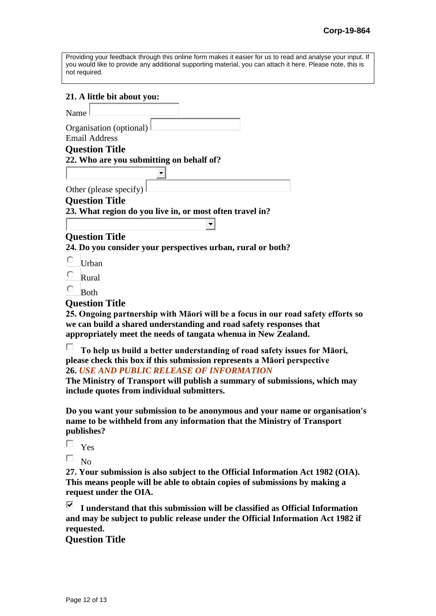| Providing your feedback through this online form makes it easier for us to read and analyse your input. If |  |
|------------------------------------------------------------------------------------------------------------|--|
| you would like to provide any additional supporting material, you can attach it here. Please note, this is |  |
| not required.                                                                                              |  |

### **21. A little bit about you:**

Name

Organisation (optional) Email Address

## **Question Title**

**22. Who are you submitting on behalf of?** 

Other (please specify)

## **Question Title**

**23. What region do you live in, or most often travel in?** 

# **Question Title**

**24. Do you consider your perspectives urban, rural or both?** 

- C Urban
- C Rural
- О Both

## **Question Title**

**25. Ongoing partnership with Māori will be a focus in our road safety efforts so we can build a shared understanding and road safety responses that appropriately meet the needs of tangata whenua in New Zealand.**

П **To help us build a better understanding of road safety issues for Māori, please check this box if this submission represents a Māori perspective 26.** *USE AND PUBLIC RELEASE OF INFORMATION*

**The Ministry of Transport will publish a summary of submissions, which may include quotes from individual submitters.**

**Do you want your submission to be anonymous and your name or organisation's name to be withheld from any information that the Ministry of Transport publishes?**

П Yes

П. No

**27. Your submission is also subject to the Official Information Act 1982 (OIA). This means people will be able to obtain copies of submissions by making a request under the OIA.** 

☑ **I understand that this submission will be classified as Official Information and may be subject to public release under the Official Information Act 1982 if requested.**

**Question Title**